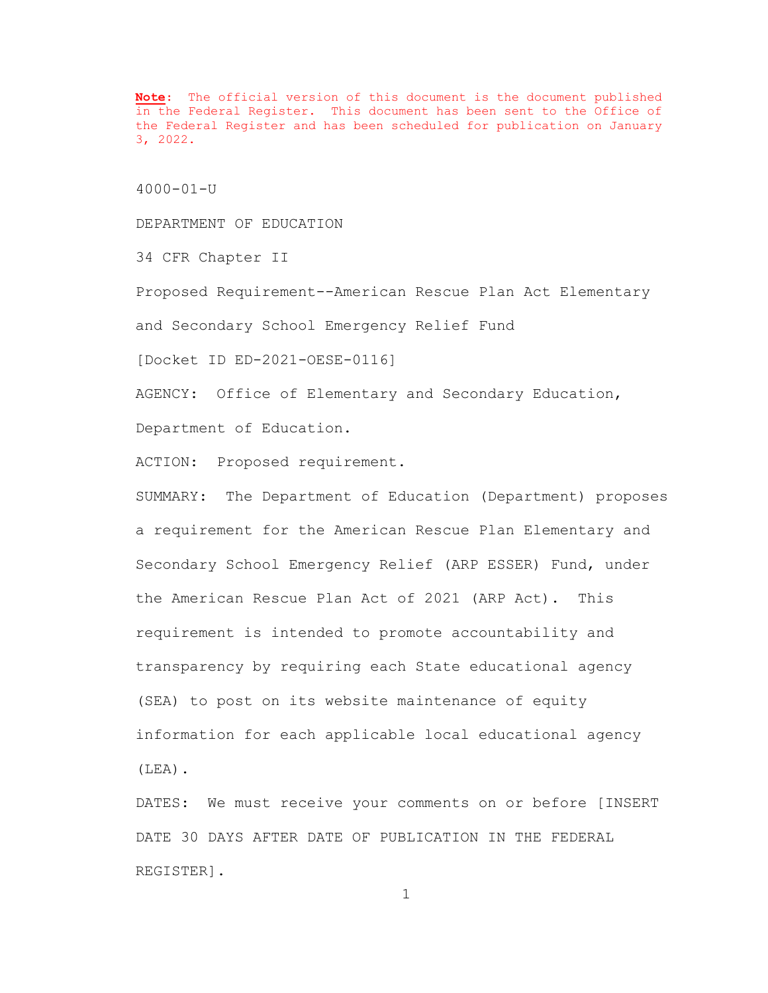**Note**: The official version of this document is the document published in the Federal Register. This document has been sent to the Office of the Federal Register and has been scheduled for publication on January 3, 2022.

4000-01-U

DEPARTMENT OF EDUCATION

34 CFR Chapter II

Proposed Requirement--American Rescue Plan Act Elementary

and Secondary School Emergency Relief Fund

[Docket ID ED-2021-OESE-0116]

AGENCY: Office of Elementary and Secondary Education, Department of Education.

ACTION: Proposed requirement.

SUMMARY: The Department of Education (Department) proposes a requirement for the American Rescue Plan Elementary and Secondary School Emergency Relief (ARP ESSER) Fund, under the American Rescue Plan Act of 2021 (ARP Act). This requirement is intended to promote accountability and transparency by requiring each State educational agency (SEA) to post on its website maintenance of equity information for each applicable local educational agency (LEA).

DATES: We must receive your comments on or before [INSERT DATE 30 DAYS AFTER DATE OF PUBLICATION IN THE FEDERAL REGISTER].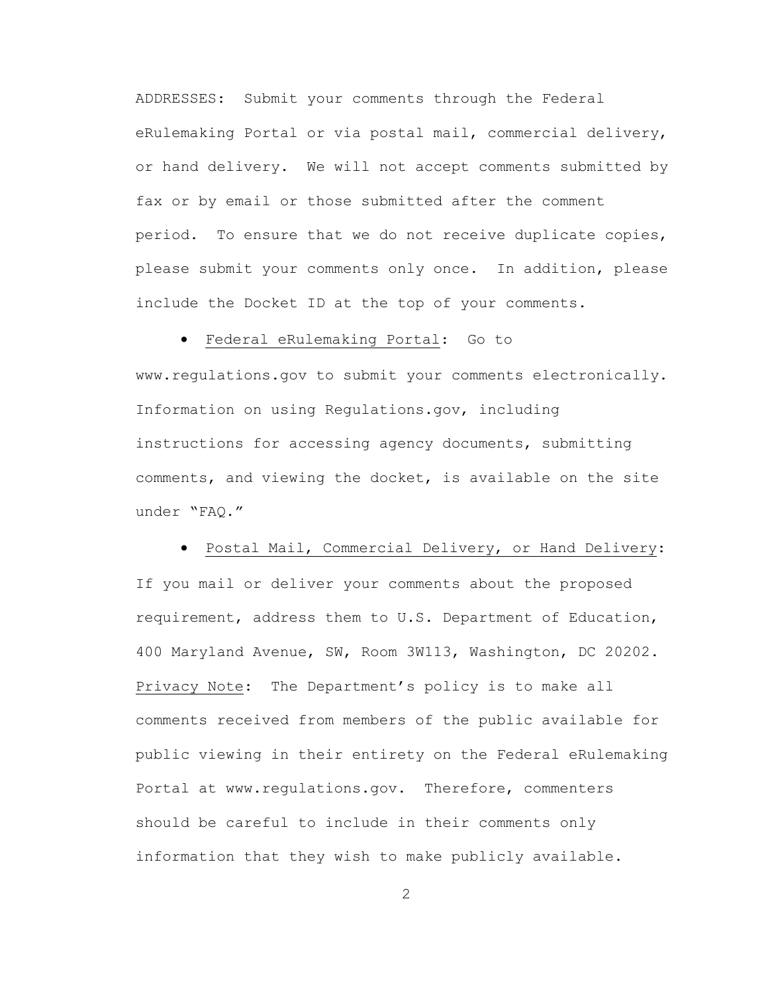ADDRESSES: Submit your comments through the Federal eRulemaking Portal or via postal mail, commercial delivery, or hand delivery. We will not accept comments submitted by fax or by email or those submitted after the comment period. To ensure that we do not receive duplicate copies, please submit your comments only once. In addition, please include the Docket ID at the top of your comments.

• Federal eRulemaking Portal: Go to

www.regulations.gov to submit your comments electronically. Information on using Regulations.gov, including instructions for accessing agency documents, submitting comments, and viewing the docket, is available on the site under "FAQ."

 • Postal Mail, Commercial Delivery, or Hand Delivery: If you mail or deliver your comments about the proposed requirement, address them to U.S. Department of Education, 400 Maryland Avenue, SW, Room 3W113, Washington, DC 20202. Privacy Note: The Department's policy is to make all comments received from members of the public available for public viewing in their entirety on the Federal eRulemaking Portal at www.regulations.gov. Therefore, commenters should be careful to include in their comments only information that they wish to make publicly available.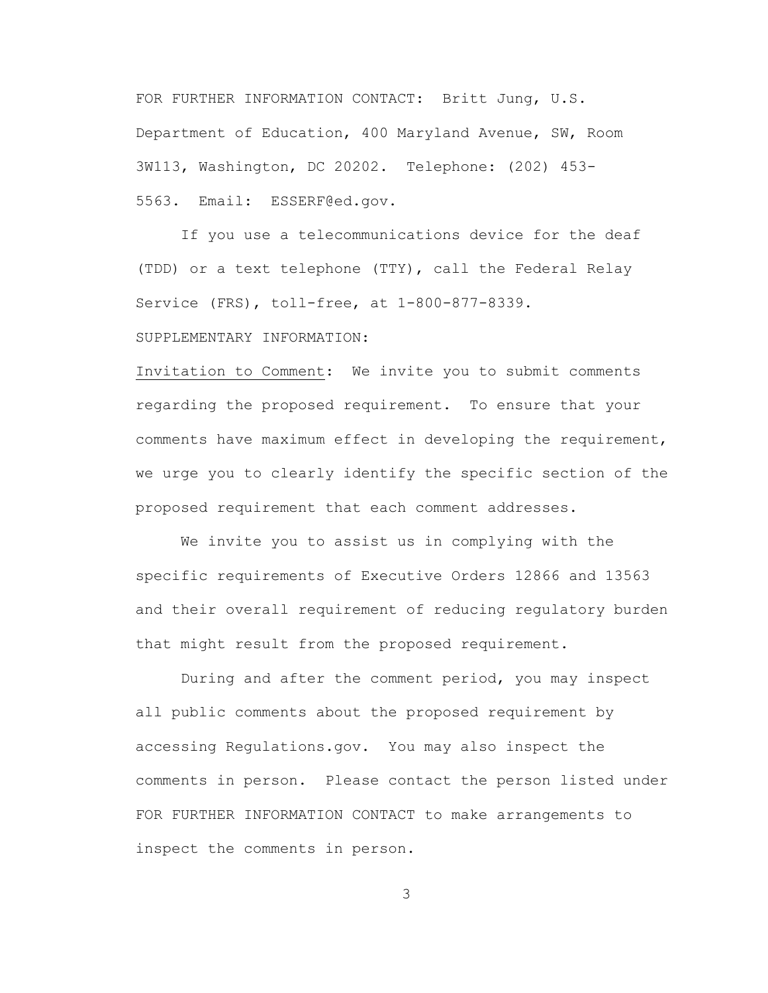FOR FURTHER INFORMATION CONTACT: Britt Jung, U.S. Department of Education, 400 Maryland Avenue, SW, Room 3W113, Washington, DC 20202. Telephone: (202) 453- 5563. Email: ESSERF@ed.gov.

 If you use a telecommunications device for the deaf (TDD) or a text telephone (TTY), call the Federal Relay Service (FRS), toll-free, at 1-800-877-8339.

SUPPLEMENTARY INFORMATION:

Invitation to Comment: We invite you to submit comments regarding the proposed requirement. To ensure that your comments have maximum effect in developing the requirement, we urge you to clearly identify the specific section of the proposed requirement that each comment addresses.

We invite you to assist us in complying with the specific requirements of Executive Orders 12866 and 13563 and their overall requirement of reducing regulatory burden that might result from the proposed requirement.

During and after the comment period, you may inspect all public comments about the proposed requirement by accessing Regulations.gov. You may also inspect the comments in person. Please contact the person listed under FOR FURTHER INFORMATION CONTACT to make arrangements to inspect the comments in person.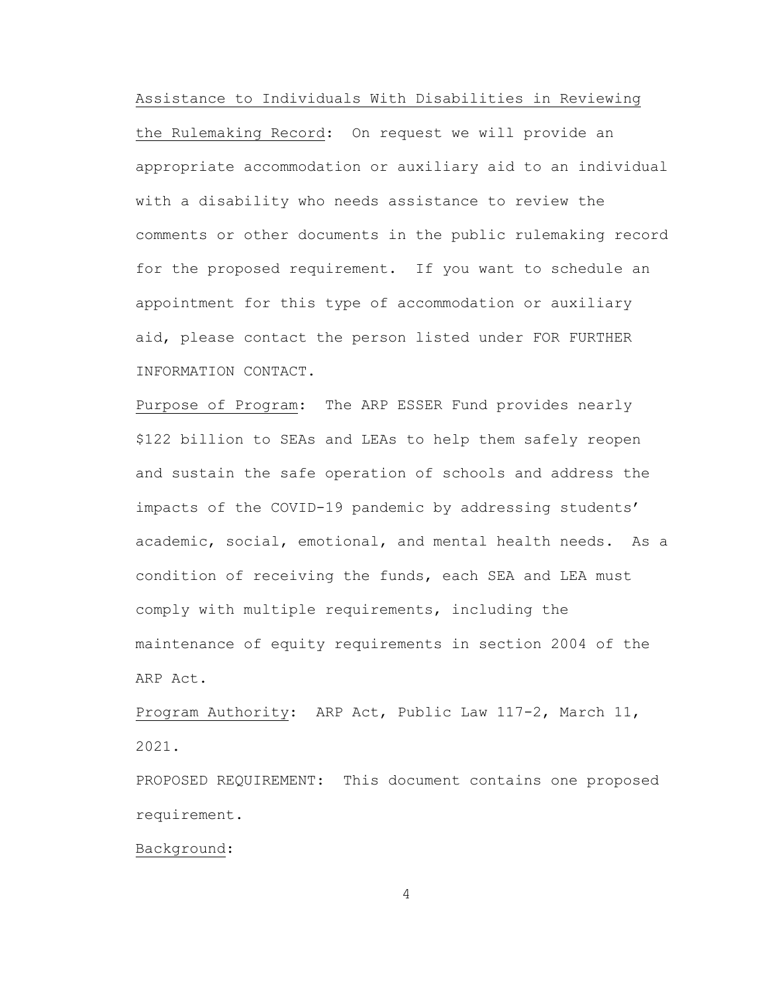Assistance to Individuals With Disabilities in Reviewing

the Rulemaking Record: On request we will provide an appropriate accommodation or auxiliary aid to an individual with a disability who needs assistance to review the comments or other documents in the public rulemaking record for the proposed requirement. If you want to schedule an appointment for this type of accommodation or auxiliary aid, please contact the person listed under FOR FURTHER INFORMATION CONTACT.

Purpose of Program: The ARP ESSER Fund provides nearly \$122 billion to SEAs and LEAs to help them safely reopen and sustain the safe operation of schools and address the impacts of the COVID-19 pandemic by addressing students' academic, social, emotional, and mental health needs. As a condition of receiving the funds, each SEA and LEA must comply with multiple requirements, including the maintenance of equity requirements in section 2004 of the ARP Act.

Program Authority: ARP Act, Public Law 117-2, March 11, 2021.

PROPOSED REQUIREMENT: This document contains one proposed requirement.

Background: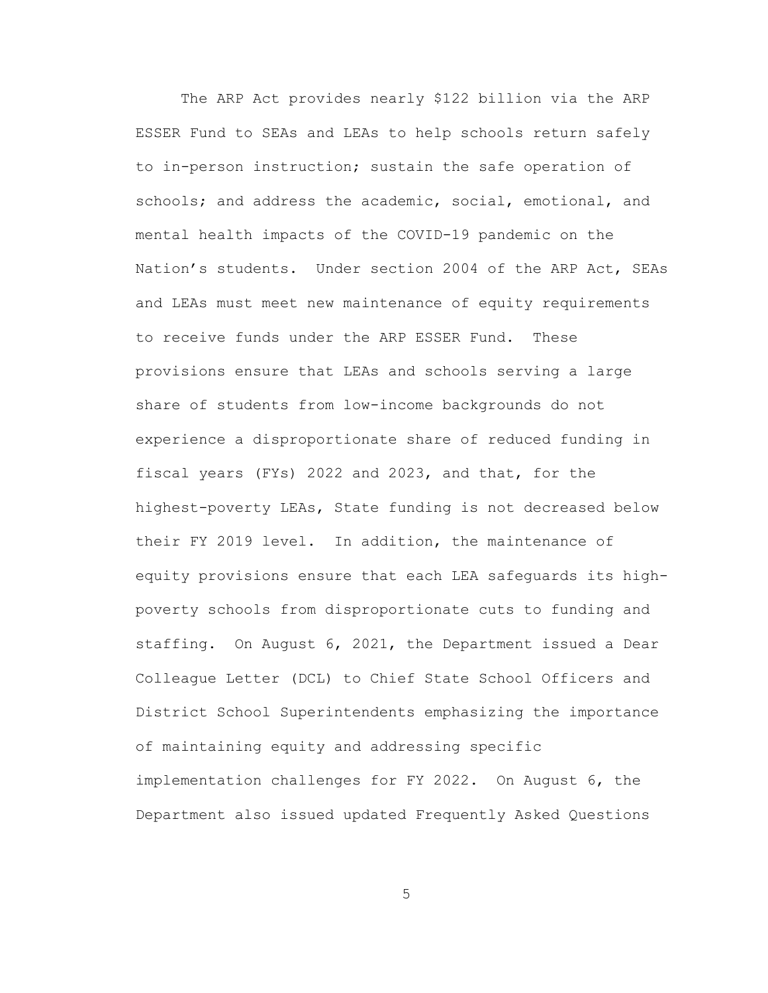The ARP Act provides nearly \$122 billion via the ARP ESSER Fund to SEAs and LEAs to help schools return safely to in-person instruction; sustain the safe operation of schools; and address the academic, social, emotional, and mental health impacts of the COVID-19 pandemic on the Nation's students. Under section 2004 of the ARP Act, SEAs and LEAs must meet new maintenance of equity requirements to receive funds under the ARP ESSER Fund. These provisions ensure that LEAs and schools serving a large share of students from low-income backgrounds do not experience a disproportionate share of reduced funding in fiscal years (FYs) 2022 and 2023, and that, for the highest-poverty LEAs, State funding is not decreased below their FY 2019 level. In addition, the maintenance of equity provisions ensure that each LEA safeguards its highpoverty schools from disproportionate cuts to funding and staffing. On August 6, 2021, the Department issued a Dear Colleague Letter (DCL) to Chief State School Officers and District School Superintendents emphasizing the importance of maintaining equity and addressing specific implementation challenges for FY 2022. On August 6, the Department also issued updated Frequently Asked Questions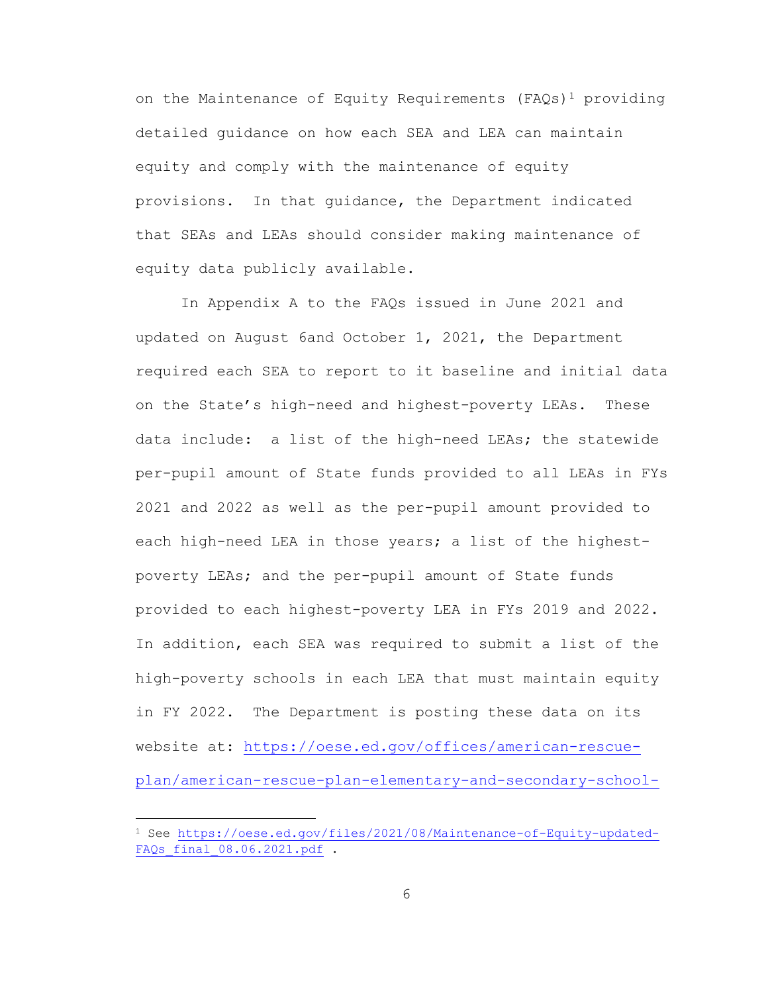on the Maintenance of Equity Requirements (FAOs)<sup>1</sup> providing detailed guidance on how each SEA and LEA can maintain equity and comply with the maintenance of equity provisions. In that guidance, the Department indicated that SEAs and LEAs should consider making maintenance of equity data publicly available.

In Appendix A to the FAQs issued in June 2021 and updated on August 6and October 1, 2021, the Department required each SEA to report to it baseline and initial data on the State's high-need and highest-poverty LEAs. These data include: a list of the high-need LEAs; the statewide per-pupil amount of State funds provided to all LEAs in FYs 2021 and 2022 as well as the per-pupil amount provided to each high-need LEA in those years; a list of the highestpoverty LEAs; and the per-pupil amount of State funds provided to each highest-poverty LEA in FYs 2019 and 2022. In addition, each SEA was required to submit a list of the high-poverty schools in each LEA that must maintain equity in FY 2022. The Department is posting these data on its website at: [https://oese.ed.gov/offices/american-rescue](https://oese.ed.gov/offices/american-rescue-plan/american-rescue-plan-elementary-and-secondary-school-emergency-relief/maintenance-of-equity/)[plan/american-rescue-plan-elementary-and-secondary-school-](https://oese.ed.gov/offices/american-rescue-plan/american-rescue-plan-elementary-and-secondary-school-emergency-relief/maintenance-of-equity/)

<sup>&</sup>lt;sup>1</sup> See [https://oese.ed.gov/files/2021/08/Maintenance-of-Equity-updated-](https://oese.ed.gov/files/2021/08/Maintenance-of-Equity-updated-FAQs_final_08.06.2021.pdf)FAQs final 08.06.2021.pdf .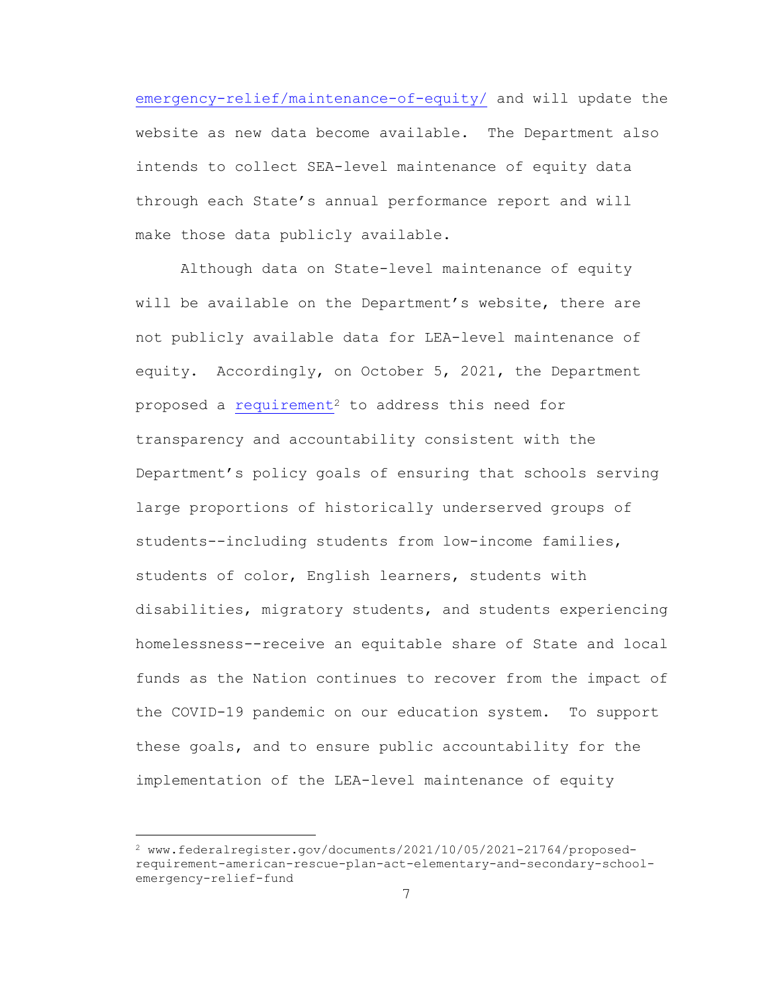[emergency-relief/maintenance-of-equity/](https://oese.ed.gov/offices/american-rescue-plan/american-rescue-plan-elementary-and-secondary-school-emergency-relief/maintenance-of-equity/) and will update the website as new data become available. The Department also intends to collect SEA-level maintenance of equity data through each State's annual performance report and will make those data publicly available.

 Although data on State-level maintenance of equity will be available on the Department's website, there are not publicly available data for LEA-level maintenance of equity. Accordingly, on October 5, 2021, the Department proposed a [requirement](https://www.federalregister.gov/documents/2021/10/05/2021-21764/proposed-requirement-american-rescue-plan-act-elementary-and-secondary-school-emergency-relief-fund)<sup>2</sup> to address this need for transparency and accountability consistent with the Department's policy goals of ensuring that schools serving large proportions of historically underserved groups of students--including students from low-income families, students of color, English learners, students with disabilities, migratory students, and students experiencing homelessness--receive an equitable share of State and local funds as the Nation continues to recover from the impact of the COVID-19 pandemic on our education system. To support these goals, and to ensure public accountability for the implementation of the LEA-level maintenance of equity

<sup>2</sup> www.federalregister.gov/documents/2021/10/05/2021-21764/proposedrequirement-american-rescue-plan-act-elementary-and-secondary-schoolemergency-relief-fund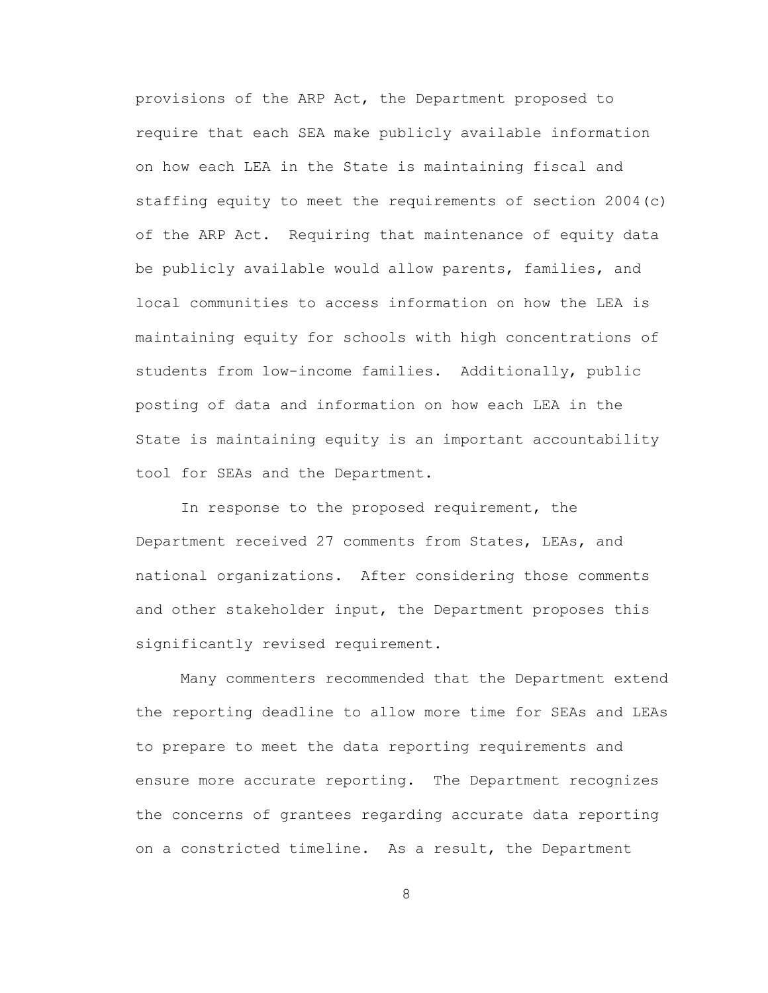provisions of the ARP Act, the Department proposed to require that each SEA make publicly available information on how each LEA in the State is maintaining fiscal and staffing equity to meet the requirements of section 2004(c) of the ARP Act. Requiring that maintenance of equity data be publicly available would allow parents, families, and local communities to access information on how the LEA is maintaining equity for schools with high concentrations of students from low-income families. Additionally, public posting of data and information on how each LEA in the State is maintaining equity is an important accountability tool for SEAs and the Department.

In response to the proposed requirement, the Department received 27 comments from States, LEAs, and national organizations. After considering those comments and other stakeholder input, the Department proposes this significantly revised requirement.

Many commenters recommended that the Department extend the reporting deadline to allow more time for SEAs and LEAs to prepare to meet the data reporting requirements and ensure more accurate reporting. The Department recognizes the concerns of grantees regarding accurate data reporting on a constricted timeline. As a result, the Department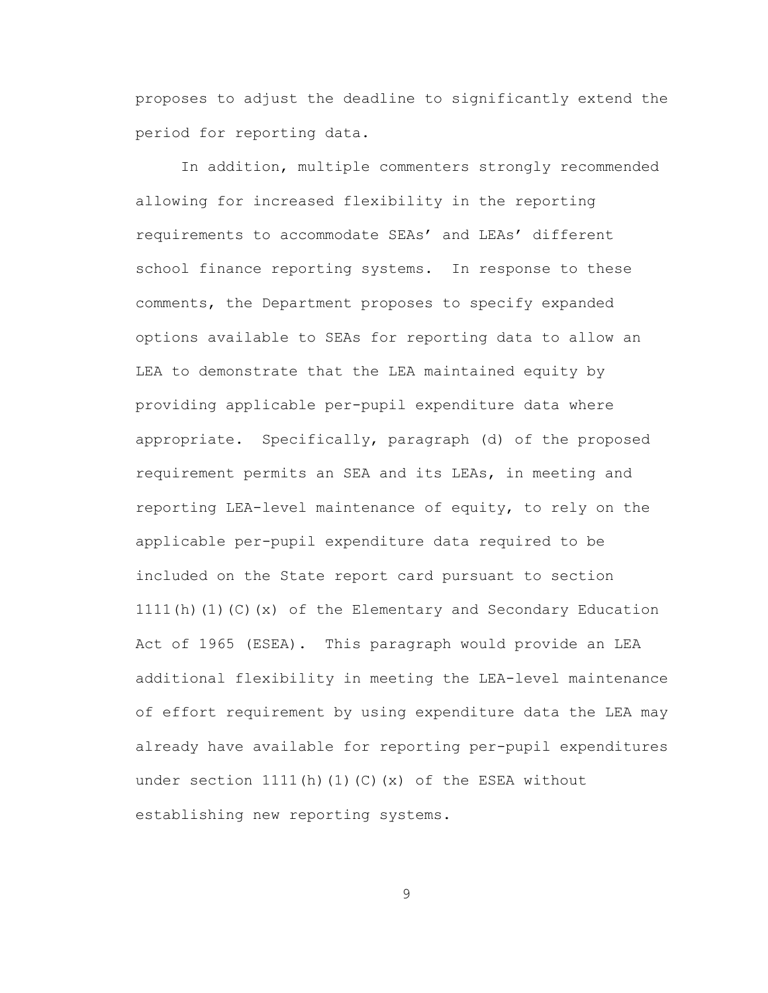proposes to adjust the deadline to significantly extend the period for reporting data.

In addition, multiple commenters strongly recommended allowing for increased flexibility in the reporting requirements to accommodate SEAs' and LEAs' different school finance reporting systems. In response to these comments, the Department proposes to specify expanded options available to SEAs for reporting data to allow an LEA to demonstrate that the LEA maintained equity by providing applicable per-pupil expenditure data where appropriate. Specifically, paragraph (d) of the proposed requirement permits an SEA and its LEAs, in meeting and reporting LEA-level maintenance of equity, to rely on the applicable per-pupil expenditure data required to be included on the State report card pursuant to section 1111 $(h)$  (1) (C)  $(x)$  of the Elementary and Secondary Education Act of 1965 (ESEA). This paragraph would provide an LEA additional flexibility in meeting the LEA-level maintenance of effort requirement by using expenditure data the LEA may already have available for reporting per-pupil expenditures under section  $1111(h)(1)(C)(x)$  of the ESEA without establishing new reporting systems.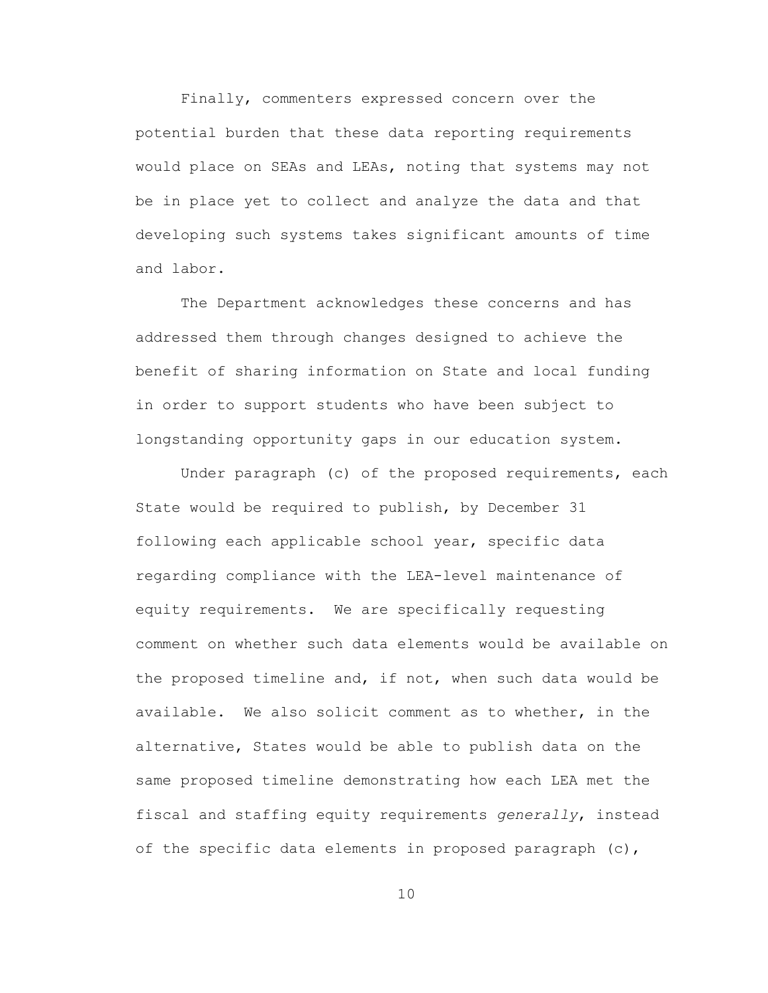Finally, commenters expressed concern over the potential burden that these data reporting requirements would place on SEAs and LEAs, noting that systems may not be in place yet to collect and analyze the data and that developing such systems takes significant amounts of time and labor.

The Department acknowledges these concerns and has addressed them through changes designed to achieve the benefit of sharing information on State and local funding in order to support students who have been subject to longstanding opportunity gaps in our education system.

Under paragraph (c) of the proposed requirements, each State would be required to publish, by December 31 following each applicable school year, specific data regarding compliance with the LEA-level maintenance of equity requirements. We are specifically requesting comment on whether such data elements would be available on the proposed timeline and, if not, when such data would be available. We also solicit comment as to whether, in the alternative, States would be able to publish data on the same proposed timeline demonstrating how each LEA met the fiscal and staffing equity requirements *generally*, instead of the specific data elements in proposed paragraph (c),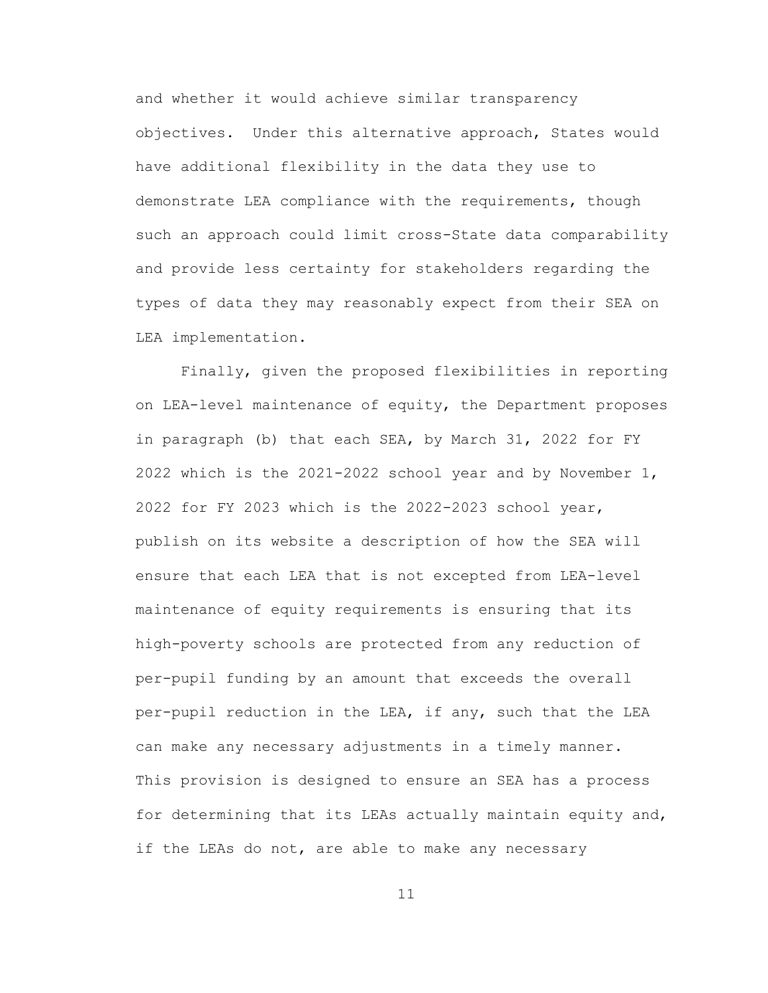and whether it would achieve similar transparency objectives. Under this alternative approach, States would have additional flexibility in the data they use to demonstrate LEA compliance with the requirements, though such an approach could limit cross-State data comparability and provide less certainty for stakeholders regarding the types of data they may reasonably expect from their SEA on LEA implementation.

Finally, given the proposed flexibilities in reporting on LEA-level maintenance of equity, the Department proposes in paragraph (b) that each SEA, by March 31, 2022 for FY 2022 which is the 2021-2022 school year and by November 1, 2022 for FY 2023 which is the 2022-2023 school year, publish on its website a description of how the SEA will ensure that each LEA that is not excepted from LEA-level maintenance of equity requirements is ensuring that its high-poverty schools are protected from any reduction of per-pupil funding by an amount that exceeds the overall per-pupil reduction in the LEA, if any, such that the LEA can make any necessary adjustments in a timely manner. This provision is designed to ensure an SEA has a process for determining that its LEAs actually maintain equity and, if the LEAs do not, are able to make any necessary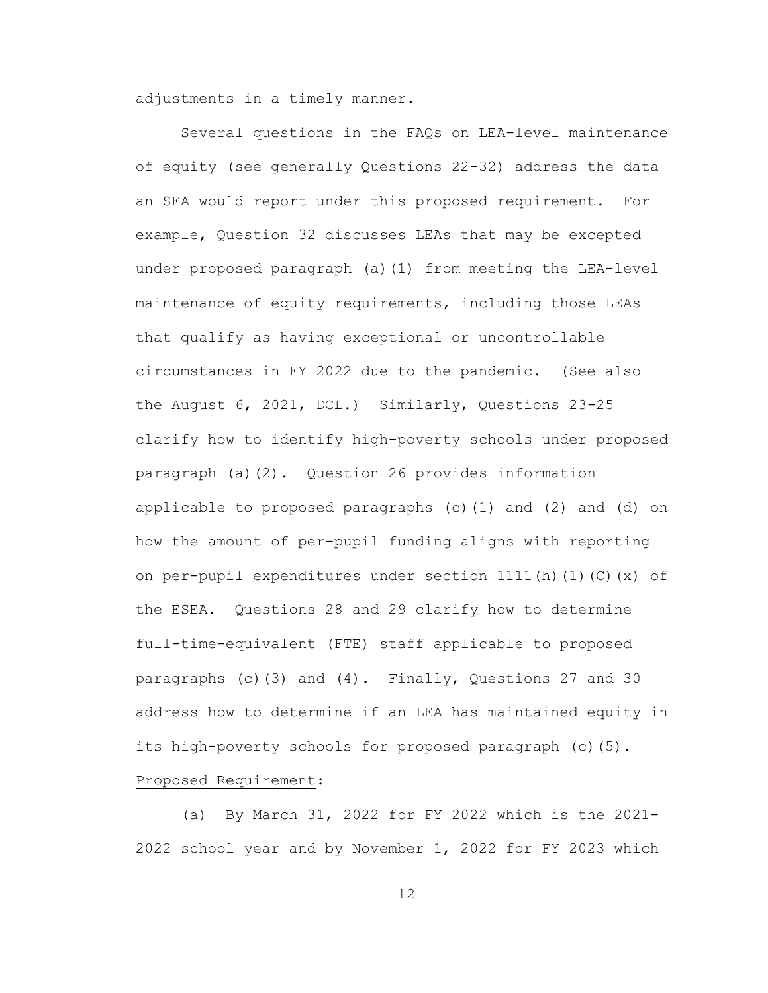adjustments in a timely manner.

Several questions in the FAQs on LEA-level maintenance of equity (see generally Questions 22-32) address the data an SEA would report under this proposed requirement. For example, Question 32 discusses LEAs that may be excepted under proposed paragraph (a)(1) from meeting the LEA-level maintenance of equity requirements, including those LEAs that qualify as having exceptional or uncontrollable circumstances in FY 2022 due to the pandemic. (See also the August 6, 2021, DCL.) Similarly, Questions 23-25 clarify how to identify high-poverty schools under proposed paragraph (a)(2). Question 26 provides information applicable to proposed paragraphs (c)(1) and (2) and (d) on how the amount of per-pupil funding aligns with reporting on per-pupil expenditures under section 1111(h)(1)(C)(x) of the ESEA. Questions 28 and 29 clarify how to determine full-time-equivalent (FTE) staff applicable to proposed paragraphs (c)(3) and (4). Finally, Questions 27 and 30 address how to determine if an LEA has maintained equity in its high-poverty schools for proposed paragraph (c)(5).

# Proposed Requirement:

(a) By March 31, 2022 for FY 2022 which is the 2021- 2022 school year and by November 1, 2022 for FY 2023 which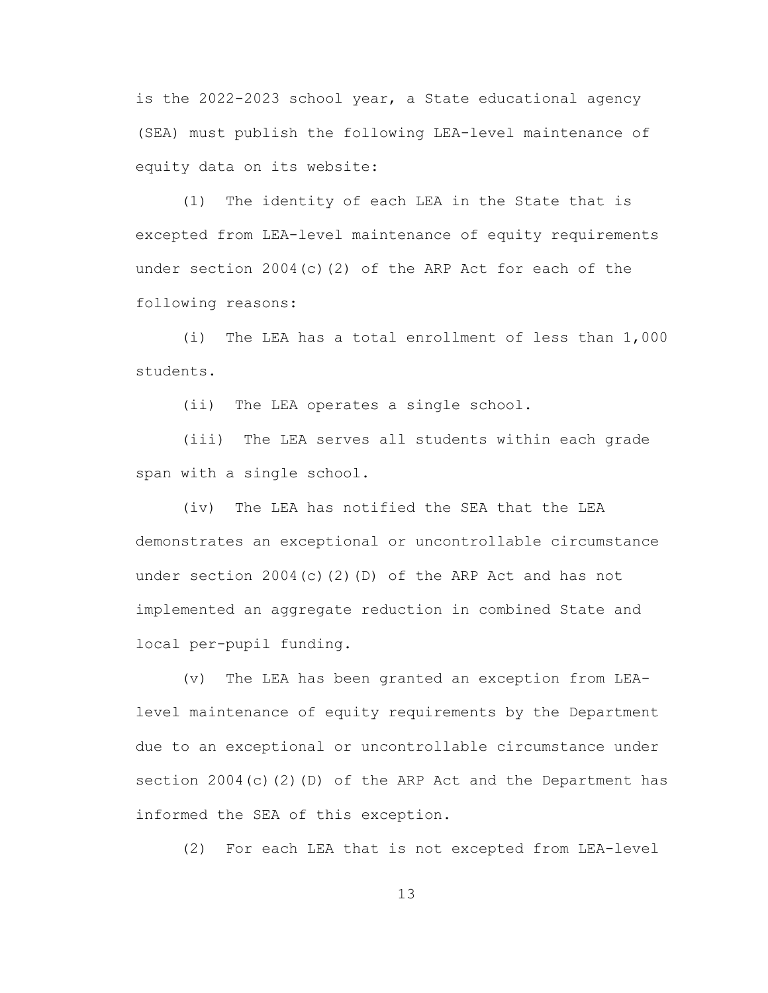is the 2022-2023 school year, a State educational agency (SEA) must publish the following LEA-level maintenance of equity data on its website:

(1) The identity of each LEA in the State that is excepted from LEA-level maintenance of equity requirements under section  $2004(c)(2)$  of the ARP Act for each of the following reasons:

(i) The LEA has a total enrollment of less than 1,000 students.

(ii) The LEA operates a single school.

(iii) The LEA serves all students within each grade span with a single school.

(iv) The LEA has notified the SEA that the LEA demonstrates an exceptional or uncontrollable circumstance under section  $2004(c)(2)(D)$  of the ARP Act and has not implemented an aggregate reduction in combined State and local per-pupil funding.

(v) The LEA has been granted an exception from LEAlevel maintenance of equity requirements by the Department due to an exceptional or uncontrollable circumstance under section 2004(c)(2)(D) of the ARP Act and the Department has informed the SEA of this exception.

(2) For each LEA that is not excepted from LEA-level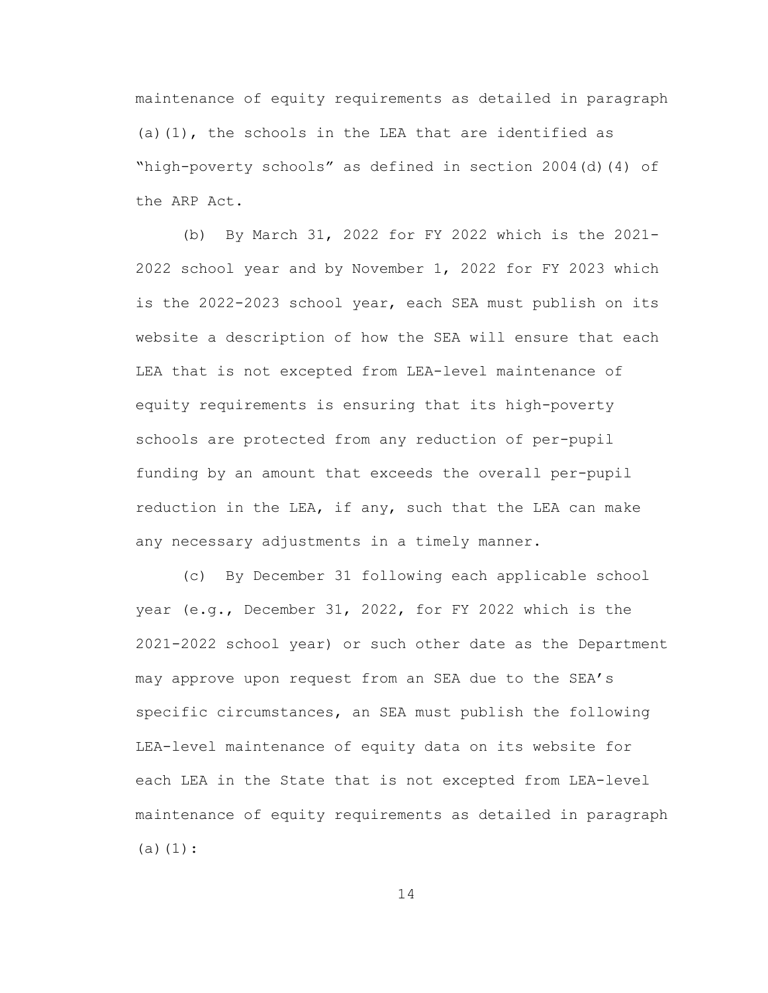maintenance of equity requirements as detailed in paragraph (a)(1), the schools in the LEA that are identified as "high-poverty schools" as defined in section 2004(d)(4) of the ARP Act.

(b) By March 31, 2022 for FY 2022 which is the 2021- 2022 school year and by November 1, 2022 for FY 2023 which is the 2022-2023 school year, each SEA must publish on its website a description of how the SEA will ensure that each LEA that is not excepted from LEA-level maintenance of equity requirements is ensuring that its high-poverty schools are protected from any reduction of per-pupil funding by an amount that exceeds the overall per-pupil reduction in the LEA, if any, such that the LEA can make any necessary adjustments in a timely manner.

(c) By December 31 following each applicable school year (e.g., December 31, 2022, for FY 2022 which is the 2021-2022 school year) or such other date as the Department may approve upon request from an SEA due to the SEA's specific circumstances, an SEA must publish the following LEA-level maintenance of equity data on its website for each LEA in the State that is not excepted from LEA-level maintenance of equity requirements as detailed in paragraph  $(a)(1):$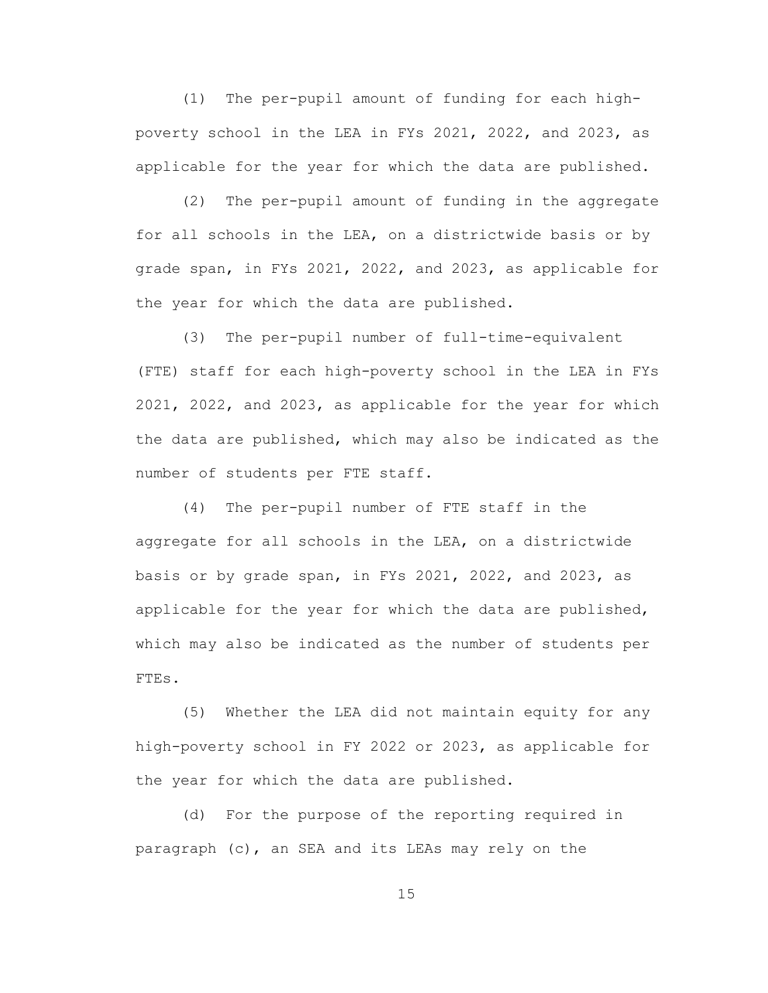(1) The per-pupil amount of funding for each highpoverty school in the LEA in FYs 2021, 2022, and 2023, as applicable for the year for which the data are published.

(2) The per-pupil amount of funding in the aggregate for all schools in the LEA, on a districtwide basis or by grade span, in FYs 2021, 2022, and 2023, as applicable for the year for which the data are published.

(3) The per-pupil number of full-time-equivalent (FTE) staff for each high-poverty school in the LEA in FYs 2021, 2022, and 2023, as applicable for the year for which the data are published, which may also be indicated as the number of students per FTE staff.

(4) The per-pupil number of FTE staff in the aggregate for all schools in the LEA, on a districtwide basis or by grade span, in FYs 2021, 2022, and 2023, as applicable for the year for which the data are published, which may also be indicated as the number of students per FTEs.

(5) Whether the LEA did not maintain equity for any high-poverty school in FY 2022 or 2023, as applicable for the year for which the data are published.

(d) For the purpose of the reporting required in paragraph (c), an SEA and its LEAs may rely on the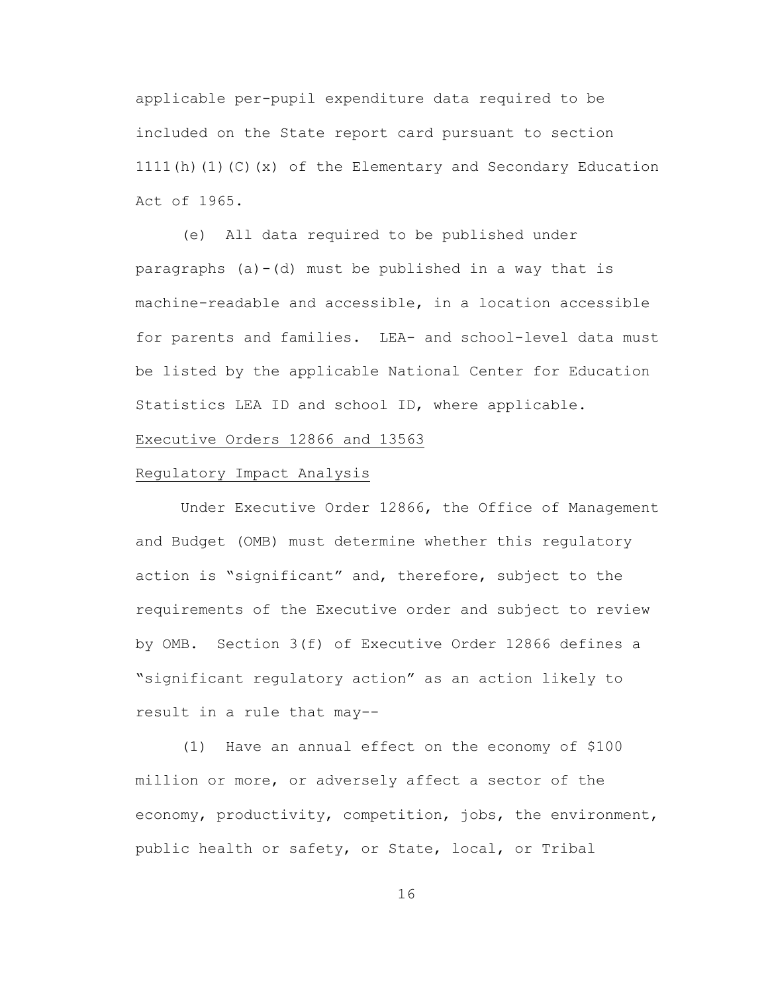applicable per-pupil expenditure data required to be included on the State report card pursuant to section 1111(h)(1)(C)(x) of the Elementary and Secondary Education Act of 1965.

(e) All data required to be published under paragraphs (a)-(d) must be published in a way that is machine-readable and accessible, in a location accessible for parents and families. LEA- and school-level data must be listed by the applicable National Center for Education Statistics LEA ID and school ID, where applicable.

### Executive Orders 12866 and 13563

# Regulatory Impact Analysis

Under Executive Order 12866, the Office of Management and Budget (OMB) must determine whether this regulatory action is "significant" and, therefore, subject to the requirements of the Executive order and subject to review by OMB. Section 3(f) of Executive Order 12866 defines a "significant regulatory action" as an action likely to result in a rule that may--

 (1) Have an annual effect on the economy of \$100 million or more, or adversely affect a sector of the economy, productivity, competition, jobs, the environment, public health or safety, or State, local, or Tribal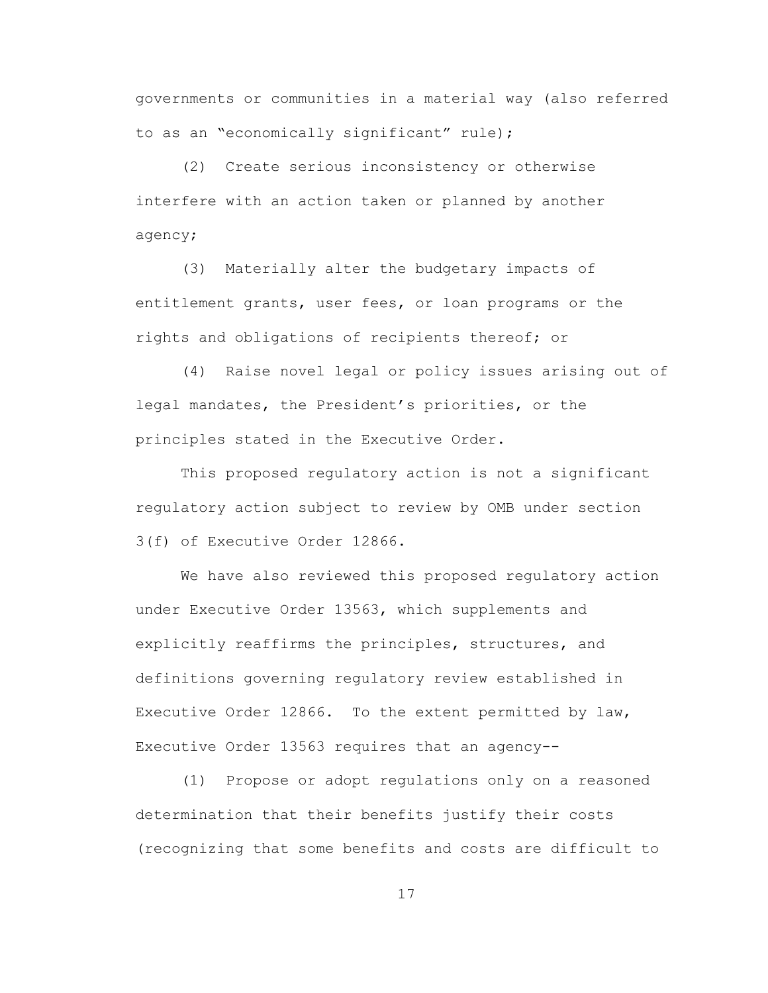governments or communities in a material way (also referred to as an "economically significant" rule);

 (2) Create serious inconsistency or otherwise interfere with an action taken or planned by another agency;

 (3) Materially alter the budgetary impacts of entitlement grants, user fees, or loan programs or the rights and obligations of recipients thereof; or

 (4) Raise novel legal or policy issues arising out of legal mandates, the President's priorities, or the principles stated in the Executive Order.

 This proposed regulatory action is not a significant regulatory action subject to review by OMB under section 3(f) of Executive Order 12866.

We have also reviewed this proposed regulatory action under Executive Order 13563, which supplements and explicitly reaffirms the principles, structures, and definitions governing regulatory review established in Executive Order 12866. To the extent permitted by law, Executive Order 13563 requires that an agency--

 (1) Propose or adopt regulations only on a reasoned determination that their benefits justify their costs (recognizing that some benefits and costs are difficult to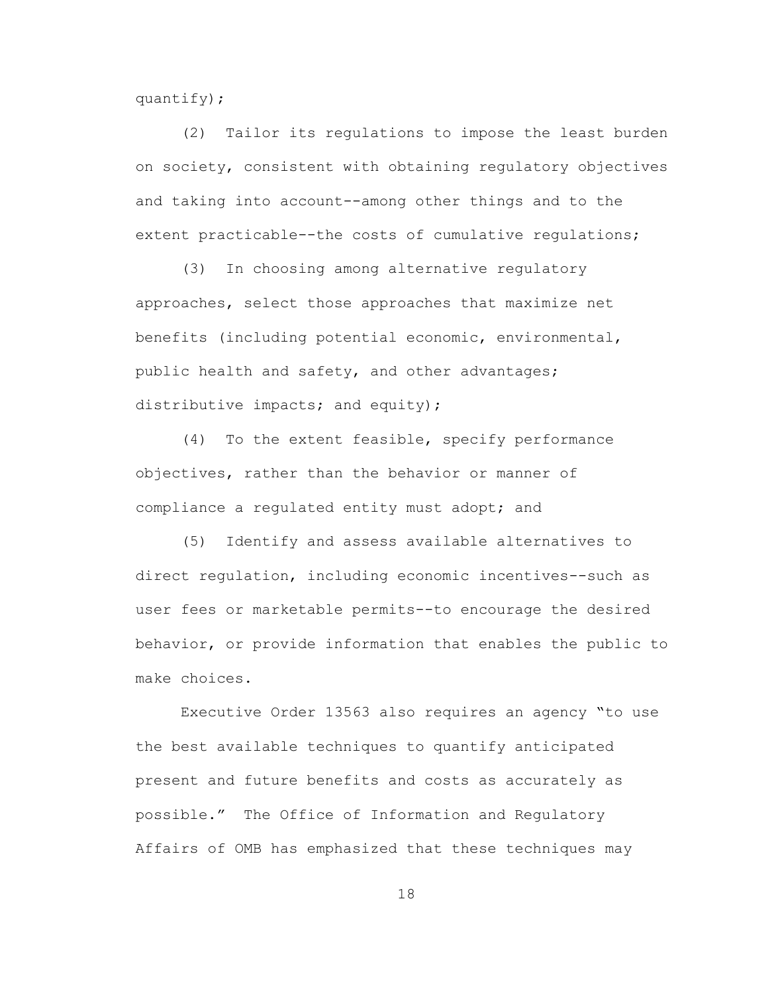quantify);

 (2) Tailor its regulations to impose the least burden on society, consistent with obtaining regulatory objectives and taking into account--among other things and to the extent practicable--the costs of cumulative regulations;

 (3) In choosing among alternative regulatory approaches, select those approaches that maximize net benefits (including potential economic, environmental, public health and safety, and other advantages; distributive impacts; and equity);

 (4) To the extent feasible, specify performance objectives, rather than the behavior or manner of compliance a regulated entity must adopt; and

 (5) Identify and assess available alternatives to direct regulation, including economic incentives--such as user fees or marketable permits--to encourage the desired behavior, or provide information that enables the public to make choices.

 Executive Order 13563 also requires an agency "to use the best available techniques to quantify anticipated present and future benefits and costs as accurately as possible." The Office of Information and Regulatory Affairs of OMB has emphasized that these techniques may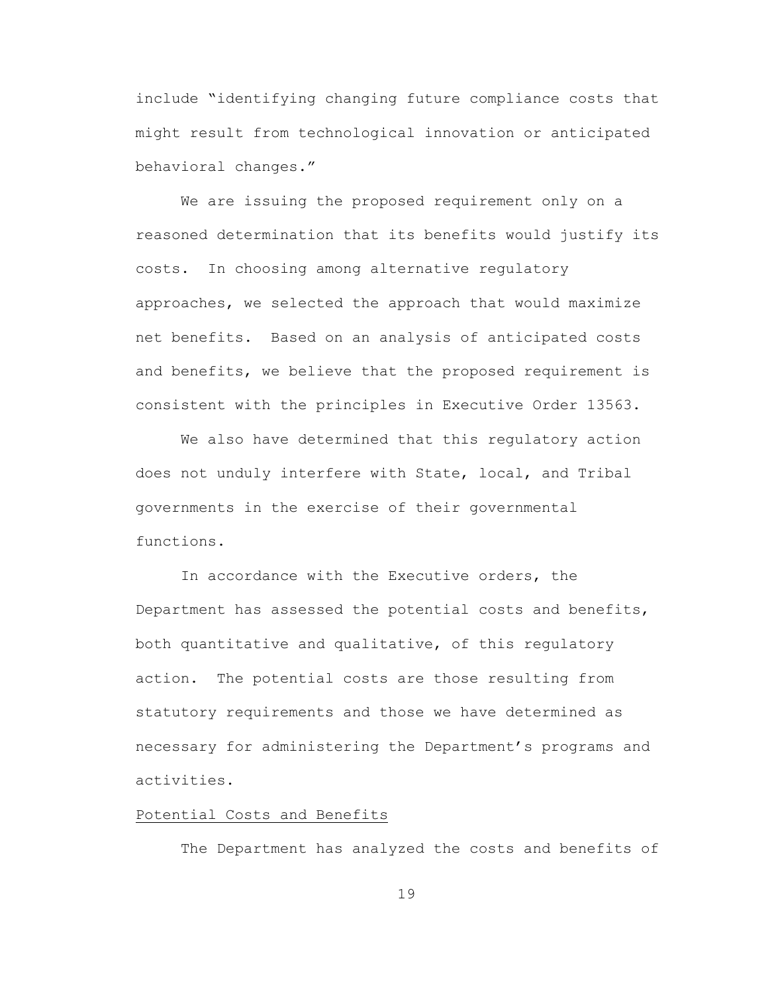include "identifying changing future compliance costs that might result from technological innovation or anticipated behavioral changes."

We are issuing the proposed requirement only on a reasoned determination that its benefits would justify its costs. In choosing among alternative regulatory approaches, we selected the approach that would maximize net benefits. Based on an analysis of anticipated costs and benefits, we believe that the proposed requirement is consistent with the principles in Executive Order 13563.

 We also have determined that this regulatory action does not unduly interfere with State, local, and Tribal governments in the exercise of their governmental functions.

In accordance with the Executive orders, the Department has assessed the potential costs and benefits, both quantitative and qualitative, of this regulatory action. The potential costs are those resulting from statutory requirements and those we have determined as necessary for administering the Department's programs and activities.

### Potential Costs and Benefits

The Department has analyzed the costs and benefits of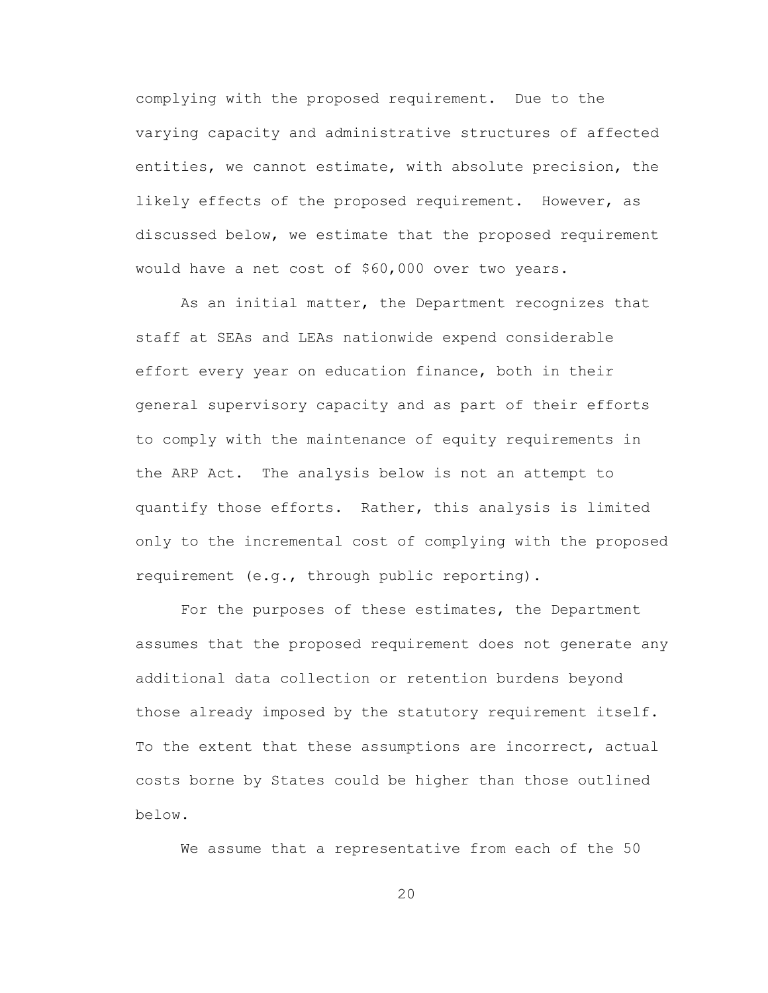complying with the proposed requirement. Due to the varying capacity and administrative structures of affected entities, we cannot estimate, with absolute precision, the likely effects of the proposed requirement. However, as discussed below, we estimate that the proposed requirement would have a net cost of \$60,000 over two years.

As an initial matter, the Department recognizes that staff at SEAs and LEAs nationwide expend considerable effort every year on education finance, both in their general supervisory capacity and as part of their efforts to comply with the maintenance of equity requirements in the ARP Act. The analysis below is not an attempt to quantify those efforts. Rather, this analysis is limited only to the incremental cost of complying with the proposed requirement (e.g., through public reporting).

For the purposes of these estimates, the Department assumes that the proposed requirement does not generate any additional data collection or retention burdens beyond those already imposed by the statutory requirement itself. To the extent that these assumptions are incorrect, actual costs borne by States could be higher than those outlined below.

We assume that a representative from each of the 50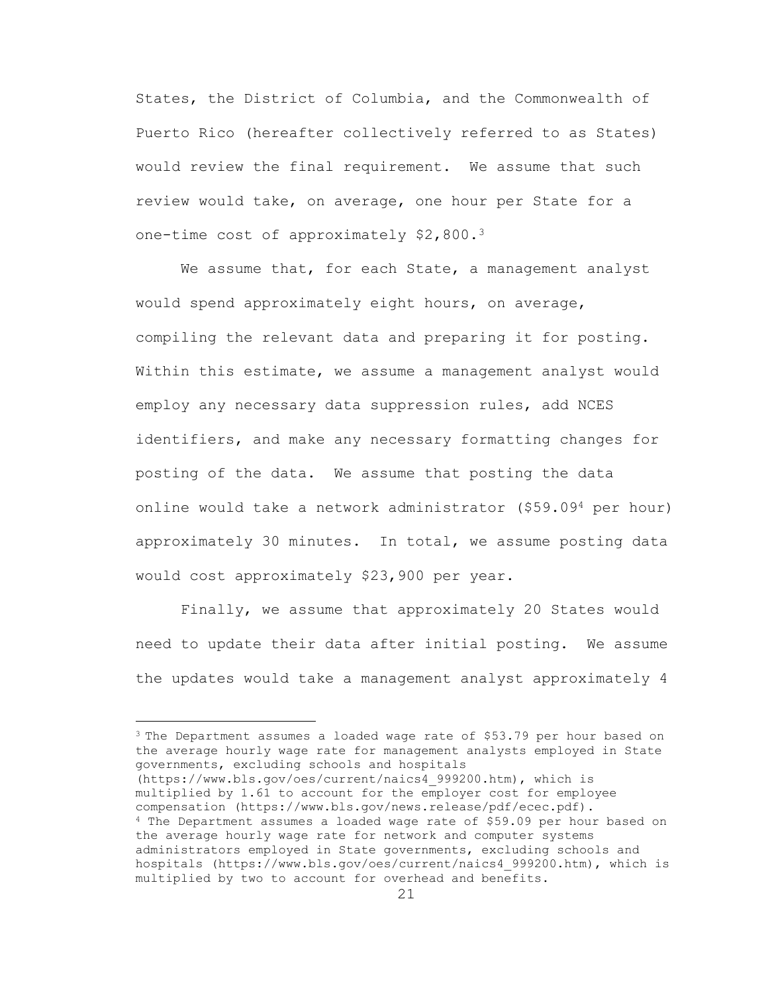States, the District of Columbia, and the Commonwealth of Puerto Rico (hereafter collectively referred to as States) would review the final requirement. We assume that such review would take, on average, one hour per State for a one-time cost of approximately \$2,800.<sup>3</sup>

We assume that, for each State, a management analyst would spend approximately eight hours, on average, compiling the relevant data and preparing it for posting. Within this estimate, we assume a management analyst would employ any necessary data suppression rules, add NCES identifiers, and make any necessary formatting changes for posting of the data. We assume that posting the data online would take a network administrator (\$59.09<sup>4</sup> per hour) approximately 30 minutes. In total, we assume posting data would cost approximately \$23,900 per year.

Finally, we assume that approximately 20 States would need to update their data after initial posting. We assume the updates would take a management analyst approximately 4

<sup>3</sup> The Department assumes a loaded wage rate of \$53.79 per hour based on the average hourly wage rate for management analysts employed in State governments, excluding schools and hospitals (https://www.bls.gov/oes/current/naics4\_999200.htm), which is multiplied by 1.61 to account for the employer cost for employee compensation (https://www.bls.gov/news.release/pdf/ecec.pdf). <sup>4</sup> The Department assumes a loaded wage rate of \$59.09 per hour based on the average hourly wage rate for network and computer systems administrators employed in State governments, excluding schools and hospitals (https://www.bls.gov/oes/current/naics4\_999200.htm), which is multiplied by two to account for overhead and benefits.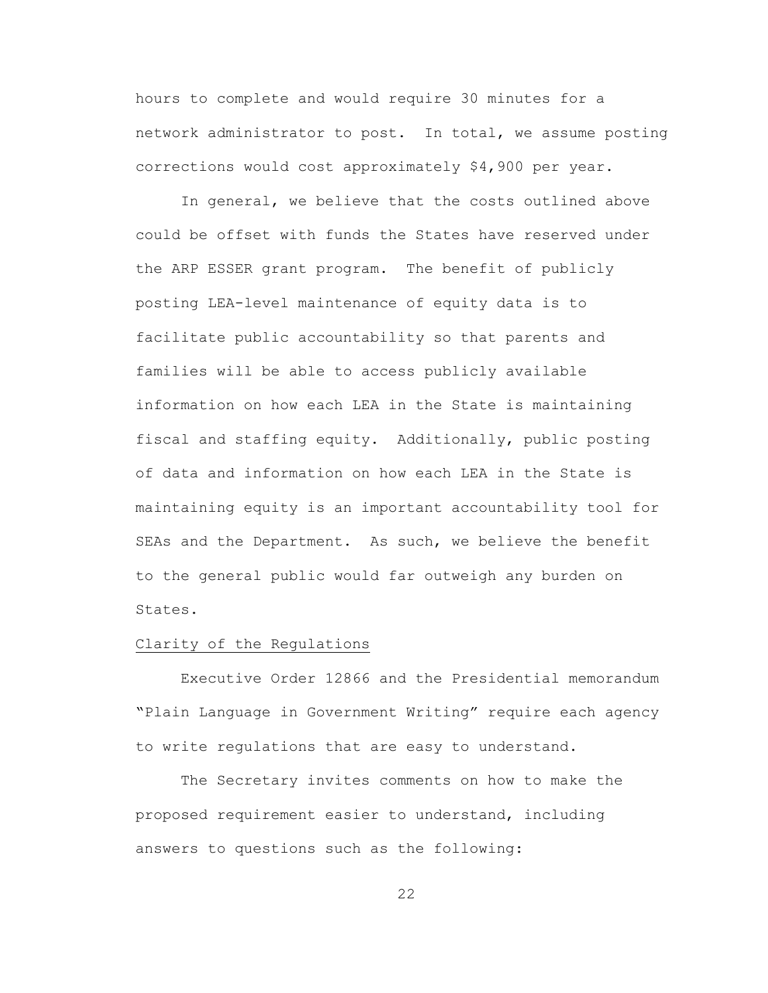hours to complete and would require 30 minutes for a network administrator to post. In total, we assume posting corrections would cost approximately \$4,900 per year.

In general, we believe that the costs outlined above could be offset with funds the States have reserved under the ARP ESSER grant program. The benefit of publicly posting LEA-level maintenance of equity data is to facilitate public accountability so that parents and families will be able to access publicly available information on how each LEA in the State is maintaining fiscal and staffing equity. Additionally, public posting of data and information on how each LEA in the State is maintaining equity is an important accountability tool for SEAs and the Department. As such, we believe the benefit to the general public would far outweigh any burden on States.

## Clarity of the Regulations

Executive Order 12866 and the Presidential memorandum "Plain Language in Government Writing" require each agency to write regulations that are easy to understand.

The Secretary invites comments on how to make the proposed requirement easier to understand, including answers to questions such as the following: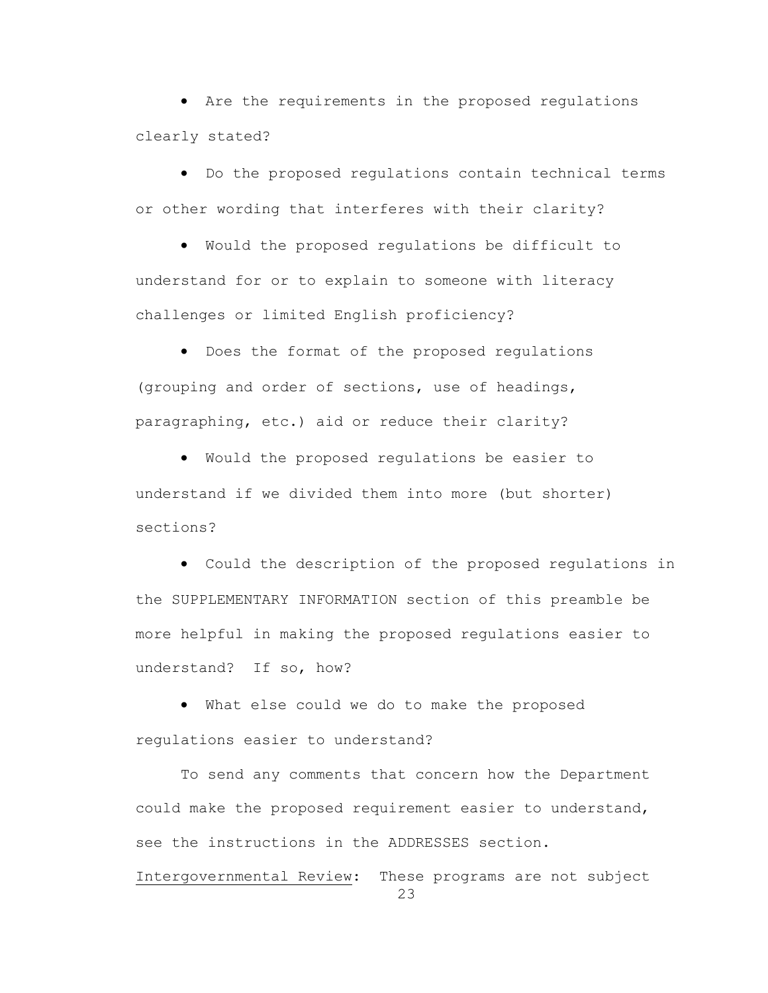• Are the requirements in the proposed regulations clearly stated?

• Do the proposed regulations contain technical terms or other wording that interferes with their clarity?

• Would the proposed regulations be difficult to understand for or to explain to someone with literacy challenges or limited English proficiency?

• Does the format of the proposed regulations (grouping and order of sections, use of headings, paragraphing, etc.) aid or reduce their clarity?

• Would the proposed regulations be easier to understand if we divided them into more (but shorter) sections?

• Could the description of the proposed regulations in the SUPPLEMENTARY INFORMATION section of this preamble be more helpful in making the proposed regulations easier to understand? If so, how?

• What else could we do to make the proposed regulations easier to understand?

To send any comments that concern how the Department could make the proposed requirement easier to understand, see the instructions in the ADDRESSES section.

23 Intergovernmental Review: These programs are not subject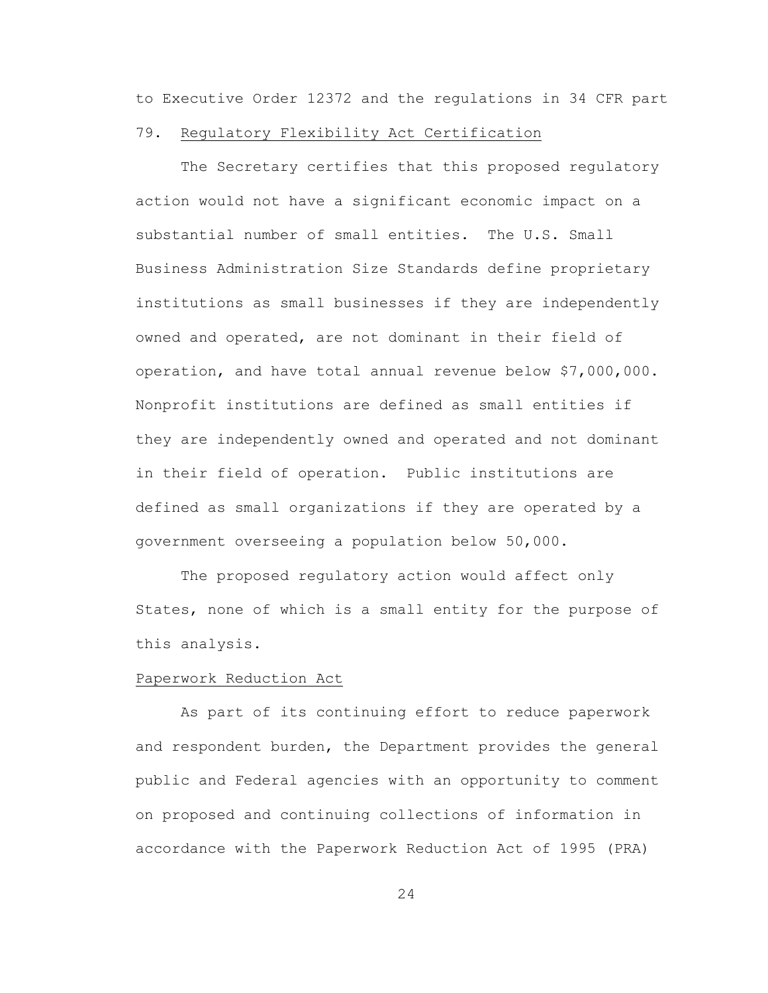to Executive Order 12372 and the regulations in 34 CFR part

## 79.Regulatory Flexibility Act Certification

The Secretary certifies that this proposed regulatory action would not have a significant economic impact on a substantial number of small entities. The U.S. Small Business Administration Size Standards define proprietary institutions as small businesses if they are independently owned and operated, are not dominant in their field of operation, and have total annual revenue below \$7,000,000. Nonprofit institutions are defined as small entities if they are independently owned and operated and not dominant in their field of operation. Public institutions are defined as small organizations if they are operated by a government overseeing a population below 50,000.

The proposed regulatory action would affect only States, none of which is a small entity for the purpose of this analysis.

#### Paperwork Reduction Act

As part of its continuing effort to reduce paperwork and respondent burden, the Department provides the general public and Federal agencies with an opportunity to comment on proposed and continuing collections of information in accordance with the Paperwork Reduction Act of 1995 (PRA)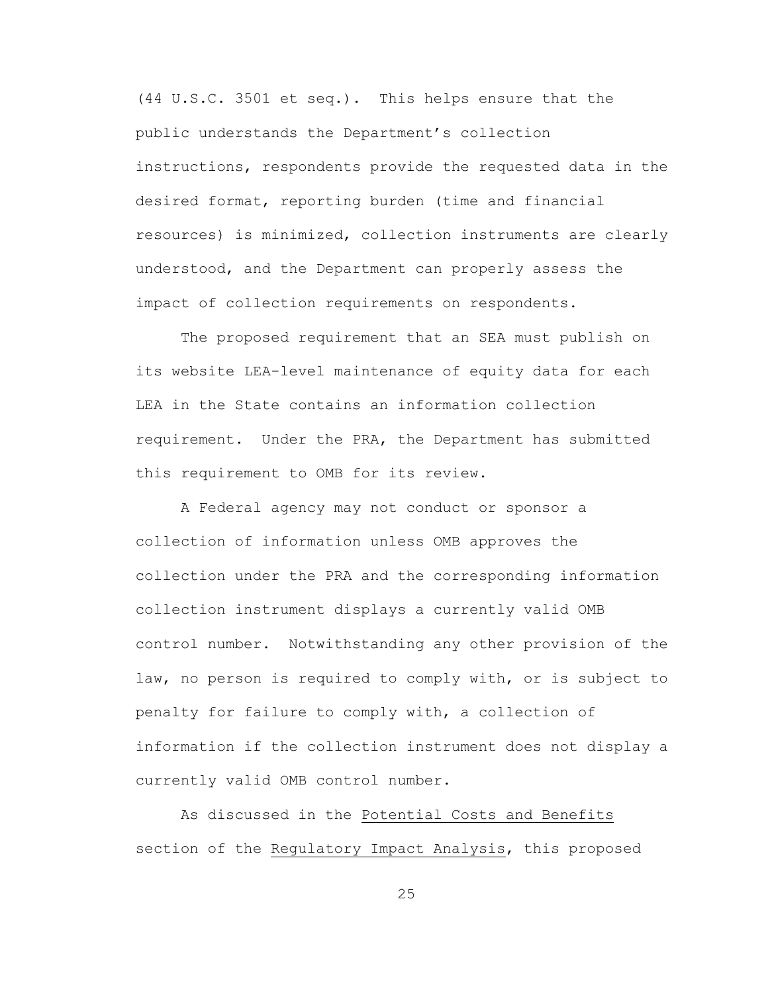(44 U.S.C. 3501 et seq.). This helps ensure that the public understands the Department's collection instructions, respondents provide the requested data in the desired format, reporting burden (time and financial resources) is minimized, collection instruments are clearly understood, and the Department can properly assess the impact of collection requirements on respondents.

The proposed requirement that an SEA must publish on its website LEA-level maintenance of equity data for each LEA in the State contains an information collection requirement. Under the PRA, the Department has submitted this requirement to OMB for its review.

A Federal agency may not conduct or sponsor a collection of information unless OMB approves the collection under the PRA and the corresponding information collection instrument displays a currently valid OMB control number. Notwithstanding any other provision of the law, no person is required to comply with, or is subject to penalty for failure to comply with, a collection of information if the collection instrument does not display a currently valid OMB control number.

As discussed in the Potential Costs and Benefits section of the Regulatory Impact Analysis, this proposed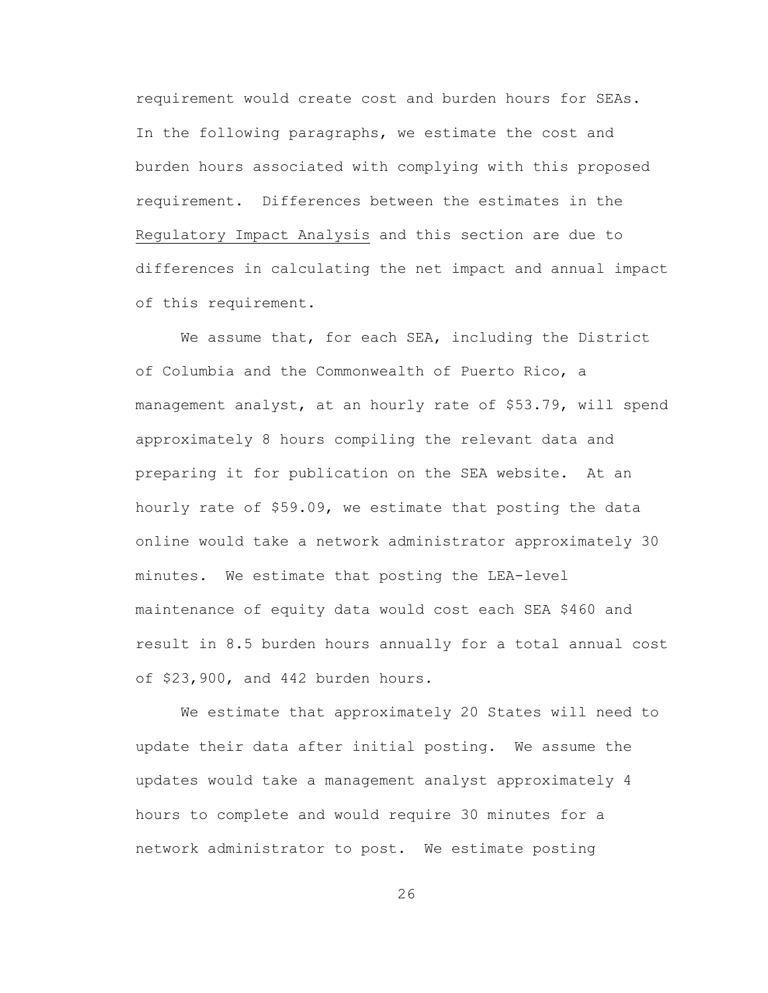requirement would create cost and burden hours for SEAs. In the following paragraphs, we estimate the cost and burden hours associated with complying with this proposed requirement. Differences between the estimates in the Regulatory Impact Analysis and this section are due to differences in calculating the net impact and annual impact of this requirement.

We assume that, for each SEA, including the District of Columbia and the Commonwealth of Puerto Rico, a management analyst, at an hourly rate of \$53.79, will spend approximately 8 hours compiling the relevant data and preparing it for publication on the SEA website. At an hourly rate of \$59.09, we estimate that posting the data online would take a network administrator approximately 30 minutes. We estimate that posting the LEA-level maintenance of equity data would cost each SEA \$460 and result in 8.5 burden hours annually for a total annual cost of \$23,900, and 442 burden hours.

We estimate that approximately 20 States will need to update their data after initial posting. We assume the updates would take a management analyst approximately 4 hours to complete and would require 30 minutes for a network administrator to post. We estimate posting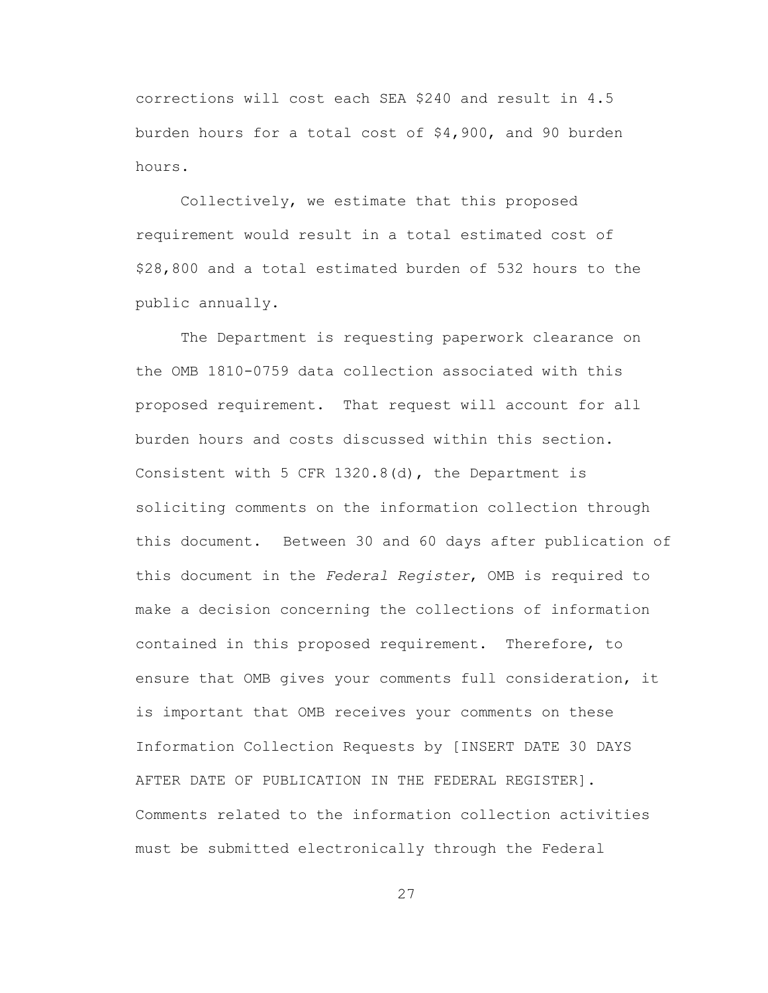corrections will cost each SEA \$240 and result in 4.5 burden hours for a total cost of \$4,900, and 90 burden hours.

Collectively, we estimate that this proposed requirement would result in a total estimated cost of \$28,800 and a total estimated burden of 532 hours to the public annually.

The Department is requesting paperwork clearance on the OMB 1810-0759 data collection associated with this proposed requirement. That request will account for all burden hours and costs discussed within this section. Consistent with 5 CFR 1320.8(d), the Department is soliciting comments on the information collection through this document. Between 30 and 60 days after publication of this document in the *Federal Register*, OMB is required to make a decision concerning the collections of information contained in this proposed requirement. Therefore, to ensure that OMB gives your comments full consideration, it is important that OMB receives your comments on these Information Collection Requests by [INSERT DATE 30 DAYS AFTER DATE OF PUBLICATION IN THE FEDERAL REGISTER]. Comments related to the information collection activities must be submitted electronically through the Federal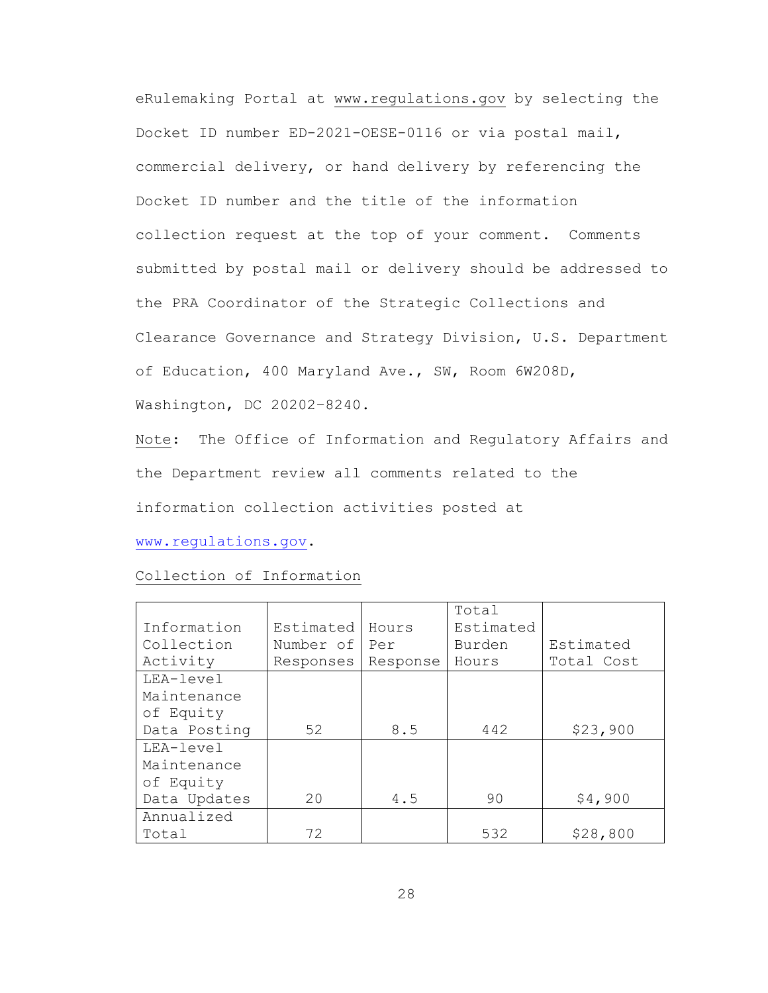eRulemaking Portal at [www.regulations.gov](http://www.regulations.gov/) by selecting the Docket ID number ED-2021-OESE-0116 or via postal mail, commercial delivery, or hand delivery by referencing the Docket ID number and the title of the information collection request at the top of your comment. Comments submitted by postal mail or delivery should be addressed to the PRA Coordinator of the Strategic Collections and Clearance Governance and Strategy Division, U.S. Department of Education, 400 Maryland Ave., SW, Room 6W208D, Washington, DC 20202–8240.

Note: The Office of Information and Regulatory Affairs and the Department review all comments related to the information collection activities posted at

[www.regulations.gov.](http://www.regulations.gov/)

# Collection of Information

|              |           |          | Total     |            |
|--------------|-----------|----------|-----------|------------|
| Information  | Estimated | Hours    | Estimated |            |
| Collection   | Number of | Per      | Burden    | Estimated  |
| Activity     | Responses | Response | Hours     | Total Cost |
| LEA-level    |           |          |           |            |
| Maintenance  |           |          |           |            |
| of Equity    |           |          |           |            |
| Data Posting | 52        | 8.5      | 442       | \$23,900   |
| LEA-level    |           |          |           |            |
| Maintenance  |           |          |           |            |
| of Equity    |           |          |           |            |
| Data Updates | 20        | 4.5      | 90        | \$4,900    |
| Annualized   |           |          |           |            |
| Total        | 72        |          | 532       | \$28,800   |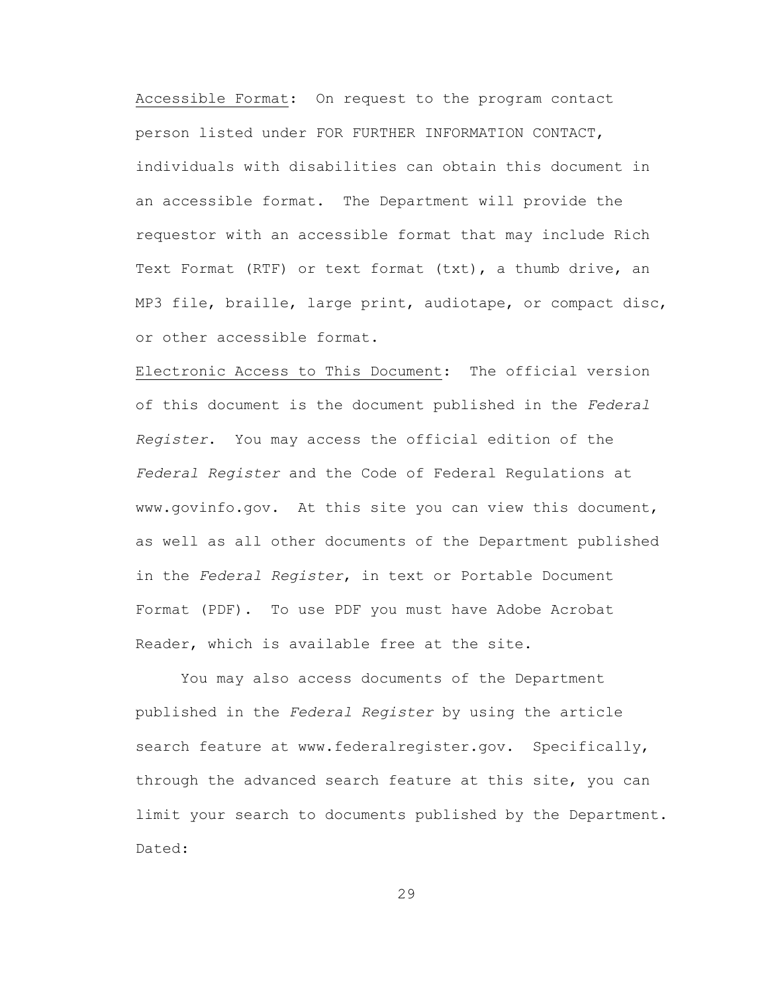Accessible Format: On request to the program contact person listed under FOR FURTHER INFORMATION CONTACT, individuals with disabilities can obtain this document in an accessible format. The Department will provide the requestor with an accessible format that may include Rich Text Format (RTF) or text format (txt), a thumb drive, an MP3 file, braille, large print, audiotape, or compact disc, or other accessible format.

Electronic Access to This Document: The official version of this document is the document published in the *Federal Register*. You may access the official edition of the *Federal Register* and the Code of Federal Regulations at www.govinfo.gov. At this site you can view this document, as well as all other documents of the Department published in the *Federal Register*, in text or Portable Document Format (PDF). To use PDF you must have Adobe Acrobat Reader, which is available free at the site.

You may also access documents of the Department published in the *Federal Register* by using the article search feature at www.federalregister.gov. Specifically, through the advanced search feature at this site, you can limit your search to documents published by the Department. Dated: